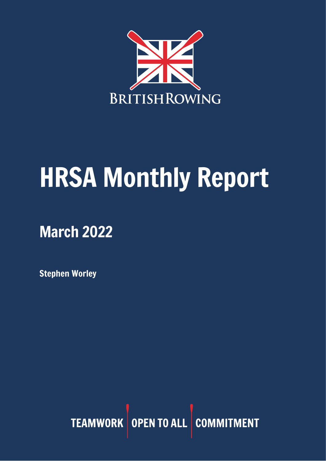

# HRSA Monthly Report

## March 2022

Stephen Worley

TEAMWORK OPEN TO ALL COMMITMENT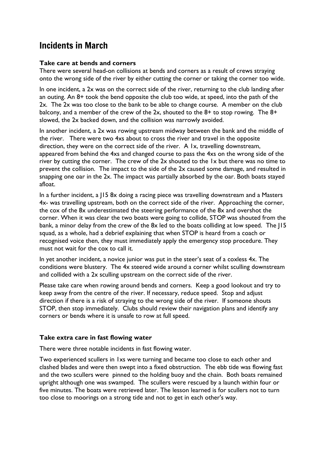## Incidents in March

#### **Take care at bends and corners**

There were several head-on collisions at bends and corners as a result of crews straying onto the wrong side of the river by either cutting the corner or taking the corner too wide.

In one incident, a 2x was on the correct side of the river, returning to the club landing after an outing. An 8+ took the bend opposite the club too wide, at speed, into the path of the 2x. The 2x was too close to the bank to be able to change course. A member on the club balcony, and a member of the crew of the 2x, shouted to the 8+ to stop rowing. The 8+ slowed, the 2x backed down, and the collision was narrowly avoided.

In another incident, a 2x was rowing upstream midway between the bank and the middle of the river. There were two 4xs about to cross the river and travel in the opposite direction, they were on the correct side of the river. A 1x, travelling downstream, appeared from behind the 4xs and changed course to pass the 4xs on the wrong side of the river by cutting the corner. The crew of the 2x shouted to the 1x but there was no time to prevent the collision. The impact to the side of the 2x caused some damage, and resulted in snapping one oar in the 2x. The impact was partially absorbed by the oar. Both boats stayed afloat.

In a further incident, a J15 8x doing a racing piece was travelling downstream and a Masters 4x- was travelling upstream, both on the correct side of the river. Approaching the corner, the cox of the 8x underestimated the steering performance of the 8x and overshot the corner. When it was clear the two boats were going to collide, STOP was shouted from the bank, a minor delay from the crew of the 8x led to the boats colliding at low speed. The J15 squad, as a whole, had a debrief explaining that when STOP is heard from a coach or recognised voice then, they must immediately apply the emergency stop procedure. They must not wait for the cox to call it.

In yet another incident, a novice junior was put in the steer's seat of a coxless 4x. The conditions were blustery. The 4x steered wide around a corner whilst sculling downstream and collided with a 2x sculling upstream on the correct side of the river.

Please take care when rowing around bends and corners. Keep a good lookout and try to keep away from the centre of the river. If necessary, reduce speed. Stop and adjust direction if there is a risk of straying to the wrong side of the river. If someone shouts STOP, then stop immediately. Clubs should review their navigation plans and identify any corners or bends where it is unsafe to row at full speed.

#### **Take extra care in fast flowing water**

There were three notable incidents in fast flowing water.

Two experienced scullers in 1xs were turning and became too close to each other and clashed blades and were then swept into a fixed obstruction. The ebb tide was flowing fast and the two scullers were pinned to the holding buoy and the chain. Both boats remained upright although one was swamped. The scullers were rescued by a launch within four or five minutes. The boats were retrieved later. The lesson learned is for scullers not to turn too close to moorings on a strong tide and not to get in each other's way.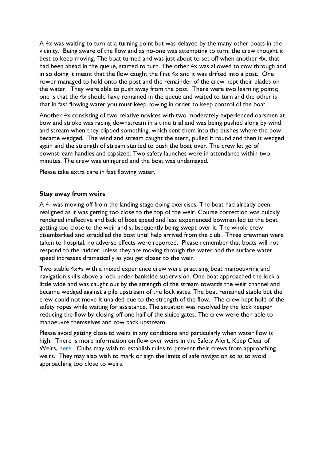A 4x was waiting to turn at a turning point but was delayed by the many other boats in the vicinity. Being aware of the flow and as no-one was attempting to turn, the crew thought it best to keep moving. The boat turned and was just about to set off when another 4x, that had been ahead in the queue, started to turn. The other 4x was allowed to row through and in so doing it meant that the flow caught the first 4x and it was drifted into a post. One rower managed to hold onto the post and the remainder of the crew kept their blades on the water. They were able to push away from the post. There were two learning points; one is that the 4x should have remained in the queue and waited to turn and the other is that in fast flowing water you must keep rowing in order to keep control of the boat.

Another 4x consisting of two relative novices with two moderately experienced oarsmen at bow and stroke was racing downstream in a time trial and was being pushed along by wind and stream when they clipped something, which sent them into the bushes where the bow became wedged. The wind and stream caught the stern, pulled it round and then it wedged again and the strength of stream started to push the boat over. The crew let go of downstream handles and capsized. Two safety launches were in attendance within two minutes. The crew was uninjured and the boat was undamaged.

Please take extra care in fast flowing water.

#### **Stay away from weirs**

A 4- was moving off from the landing stage doing exercises. The boat had already been realigned as it was getting too close to the top of the weir. Course correction was quickly rendered ineffective and lack of boat speed and less experienced bowman led to the boat getting too close to the weir and subsequently being swept over it. The whole crew disembarked and straddled the boat until help arrived from the club. Three crewmen were taken to hospital, no adverse effects were reported. Please remember that boats will not respond to the rudder unless they are moving through the water and the surface water speed increases dramatically as you get closer to the weir.

Two stable 4x+s with a mixed experience crew were practising boat manoeuvring and navigation skills above a lock under bankside supervision. One boat approached the lock a little wide and was caught out by the strength of the stream towards the weir channel and became wedged against a pile upstream of the lock gates. The boat remained stable but the crew could not move it unaided due to the strength of the flow. The crew kept hold of the safety ropes while waiting for assistance. The situation was resolved by the lock keeper reducing the flow by closing off one half of the sluice gates. The crew were then able to manoeuvre themselves and row back upstream.

Please avoid getting close to weirs in any conditions and particularly when water flow is high. There is more information on flow over weirs in the Safety Alert, Keep Clear of Weirs, [here.](https://www.britishrowing.org/wp-content/uploads/2019/12/Safety-Alert-Keep-clear-of-Weirs-Dec-2019.pdf) Clubs may wish to establish rules to prevent their crews from approaching weirs. They may also wish to mark or sign the limits of safe navigation so as to avoid approaching too close to weirs.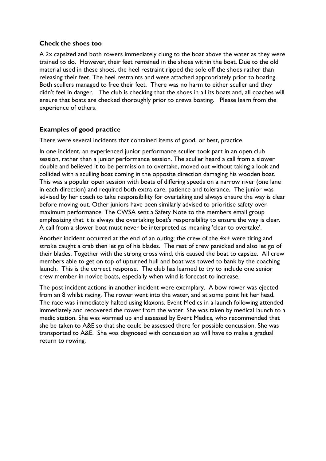#### **Check the shoes too**

A 2x capsized and both rowers immediately clung to the boat above the water as they were trained to do. However, their feet remained in the shoes within the boat. Due to the old material used in these shoes, the heel restraint ripped the sole off the shoes rather than releasing their feet. The heel restraints and were attached appropriately prior to boating. Both scullers managed to free their feet. There was no harm to either sculler and they didn't feel in danger. The club is checking that the shoes in all its boats and, all coaches will ensure that boats are checked thoroughly prior to crews boating. Please learn from the experience of others.

### **Examples of good practice**

There were several incidents that contained items of good, or best, practice.

In one incident, an experienced junior performance sculler took part in an open club session, rather than a junior performance session. The sculler heard a call from a slower double and believed it to be permission to overtake, moved out without taking a look and collided with a sculling boat coming in the opposite direction damaging his wooden boat. This was a popular open session with boats of differing speeds on a narrow river (one lane in each direction) and required both extra care, patience and tolerance. The junior was advised by her coach to take responsibility for overtaking and always ensure the way is clear before moving out. Other juniors have been similarly advised to prioritise safety over maximum performance. The CWSA sent a Safety Note to the members email group emphasizing that it is always the overtaking boat's responsibility to ensure the way is clear. A call from a slower boat must never be interpreted as meaning 'clear to overtake'.

Another incident occurred at the end of an outing; the crew of the 4x+ were tiring and stroke caught a crab then let go of his blades. The rest of crew panicked and also let go of their blades. Together with the strong cross wind, this caused the boat to capsize. All crew members able to get on top of upturned hull and boat was towed to bank by the coaching launch. This is the correct response. The club has learned to try to include one senior crew member in novice boats, especially when wind is forecast to increase.

The post incident actions in another incident were exemplary. A bow rower was ejected from an 8 whilst racing. The rower went into the water, and at some point hit her head. The race was immediately halted using klaxons. Event Medics in a launch following attended immediately and recovered the rower from the water. She was taken by medical launch to a medic station. She was warmed up and assessed by Event Medics, who recommended that she be taken to A&E so that she could be assessed there for possible concussion. She was transported to A&E. She was diagnosed with concussion so will have to make a gradual return to rowing.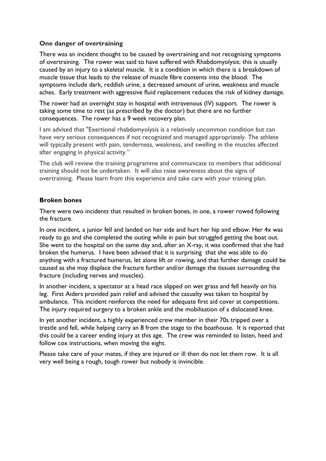#### **One danger of overtraining**

There was an incident thought to be caused by overtraining and not recognising symptoms of overtraining. The rower was said to have suffered with Rhabdomyolysis; this is usually caused by an injury to a skeletal muscle. It is a condition in which there is a breakdown of muscle tissue that leads to the release of muscle fibre contents into the blood. The symptoms include dark, reddish urine, a decreased amount of urine, weakness and muscle aches. Early treatment with aggressive fluid replacement reduces the risk of kidney damage.

The rower had an overnight stay in hospital with intravenous (IV) support. The rower is taking some time to rest (as prescribed by the doctor) but there are no further consequences. The rower has a 9 week recovery plan.

I am advised that "Exertional rhabdomyolysis is a relatively uncommon condition but can have very serious consequences if not recognized and managed appropriately. The athlete will typically present with pain, tenderness, weakness, and swelling in the muscles affected after engaging in physical activity."

The club will review the training programme and communicate to members that additional training should not be undertaken. It will also raise awareness about the signs of overtraining. Please learn from this experience and take care with your training plan.

#### **Broken bones**

There were two incidents that resulted in broken bones, in one, a rower rowed following the fracture.

In one incident, a junior fell and landed on her side and hurt her hip and elbow. Her 4x was ready to go and she completed the outing while in pain but struggled getting the boat out. She went to the hospital on the same day and, after an X-ray, it was confirmed that she had broken the humerus. I have been advised that it is surprising that she was able to do anything with a fractured humerus, let alone lift or rowing, and that further damage could be caused as she may displace the fracture further and/or damage the tissues surrounding the fracture (including nerves and muscles).

In another incident, a spectator at a head race slipped on wet grass and fell heavily on his leg. First Aiders provided pain relief and advised the casualty was taken to hospital by ambulance. This incident reinforces the need for adequate first aid cover at competitions. The injury required surgery to a broken ankle and the mobilisation of a dislocated knee.

In yet another incident, a highly experienced crew member in their 70s tripped over a trestle and fell, while helping carry an 8 from the stage to the boathouse. It is reported that this could be a career ending injury at this age. The crew was reminded to listen, heed and follow cox instructions, when moving the eight.

Please take care of your mates, if they are injured or ill then do not let them row. It is all very well being a rough, tough rower but nobody is invincible.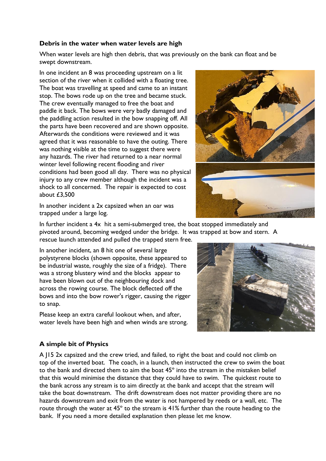#### **Debris in the water when water levels are high**

When water levels are high then debris, that was previously on the bank can float and be swept downstream.

In one incident an 8 was proceeding upstream on a lit section of the river when it collided with a floating tree. The boat was travelling at speed and came to an instant stop. The bows rode up on the tree and became stuck. The crew eventually managed to free the boat and paddle it back. The bows were very badly damaged and the paddling action resulted in the bow snapping off. All the parts have been recovered and are shown opposite. Afterwards the conditions were reviewed and it was agreed that it was reasonable to have the outing. There was nothing visible at the time to suggest there were any hazards. The river had returned to a near normal winter level following recent flooding and river conditions had been good all day. There was no physical injury to any crew member although the incident was a shock to all concerned. The repair is expected to cost about £3,500



In another incident a 2x capsized when an oar was trapped under a large log.

In further incident a 4x hit a semi-submerged tree, the boat stopped immediately and pivoted around, becoming wedged under the bridge. It was trapped at bow and stern. A rescue launch attended and pulled the trapped stern free.

In another incident, an 8 hit one of several large polystyrene blocks (shown opposite, these appeared to be industrial waste, roughly the size of a fridge). There was a strong blustery wind and the blocks appear to have been blown out of the neighbouring dock and across the rowing course. The block deflected off the bows and into the bow rower's rigger, causing the rigger to snap.

Please keep an extra careful lookout when, and after, water levels have been high and when winds are strong.

#### **A simple bit of Physics**

A J15 2x capsized and the crew tried, and failed, to right the boat and could not climb on top of the inverted boat. The coach, in a launch, then instructed the crew to swim the boat to the bank and directed them to aim the boat 45º into the stream in the mistaken belief that this would minimise the distance that they could have to swim. The quickest route to the bank across any stream is to aim directly at the bank and accept that the stream will take the boat downstream. The drift downstream does not matter providing there are no hazards downstream and exit from the water is not hampered by reeds or a wall, etc. The route through the water at 45º to the stream is 41% further than the route heading to the bank. If you need a more detailed explanation then please let me know.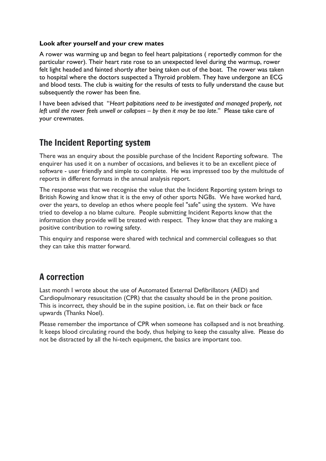#### **Look after yourself and your crew mates**

A rower was warming up and began to feel heart palpitations ( reportedly common for the particular rower). Their heart rate rose to an unexpected level during the warmup, rower felt light headed and fainted shortly after being taken out of the boat. The rower was taken to hospital where the doctors suspected a Thyroid problem. They have undergone an ECG and blood tests. The club is waiting for the results of tests to fully understand the cause but subsequently the rower has been fine.

I have been advised that "*Heart palpitations need to be investigated and managed properly, not left until the rower feels unwell or collapses – by then it may be too late*." Please take care of your crewmates.

## The Incident Reporting system

There was an enquiry about the possible purchase of the Incident Reporting software. The enquirer has used it on a number of occasions, and believes it to be an excellent piece of software - user friendly and simple to complete. He was impressed too by the multitude of reports in different formats in the annual analysis report.

The response was that we recognise the value that the Incident Reporting system brings to British Rowing and know that it is the envy of other sports NGBs. We have worked hard, over the years, to develop an ethos where people feel "safe" using the system. We have tried to develop a no blame culture. People submitting Incident Reports know that the information they provide will be treated with respect. They know that they are making a positive contribution to rowing safety.

This enquiry and response were shared with technical and commercial colleagues so that they can take this matter forward.

## A correction

Last month I wrote about the use of Automated External Defibrillators (AED) and Cardiopulmonary resuscitation (CPR) that the casualty should be in the prone position. This is incorrect, they should be in the supine position, i.e. flat on their back or face upwards (Thanks Noel).

Please remember the importance of CPR when someone has collapsed and is not breathing. It keeps blood circulating round the body, thus helping to keep the casualty alive. Please do not be distracted by all the hi-tech equipment, the basics are important too.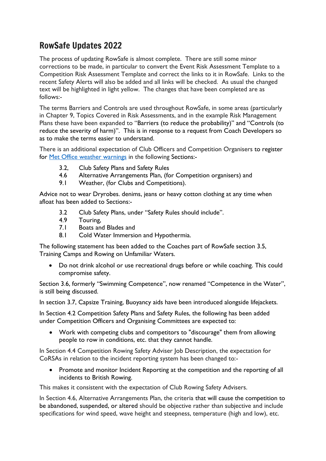## RowSafe Updates 2022

The process of updating RowSafe is almost complete. There are still some minor corrections to be made, in particular to convert the Event Risk Assessment Template to a Competition Risk Assessment Template and correct the links to it in RowSafe. Links to the recent Safety Alerts will also be added and all links will be checked. As usual the changed text will be highlighted in light yellow. The changes that have been completed are as follows:-

The terms Barriers and Controls are used throughout RowSafe, in some areas (particularly in Chapter 9, Topics Covered in Risk Assessments, and in the example Risk Management Plans these have been expanded to "Barriers (to reduce the probability)" and "Controls (to reduce the severity of harm)". This is in response to a request from Coach Developers so as to make the terms easier to understand.

There is an additional expectation of Club Officers and Competition Organisers to register for Met Office weather [warnings](https://www.metoffice.gov.uk/about-us/guide-to-emails) in the following Sections:-

- 3.2, Club Safety Plans and Safety Rules
- 4.6 Alternative Arrangements Plan, (for Competition organisers) and
- 9.1 Weather, (for Clubs and Competitions).

Advice not to wear Dryrobes. denims, jeans or heavy cotton clothing at any time when afloat has been added to Sections:-

- 3.2 Club Safety Plans, under "Safety Rules should include".
- 4.9 Touring,
- 7.1 Boats and Blades and
- 8.1 Cold Water Immersion and Hypothermia.

The following statement has been added to the Coaches part of RowSafe section 3.5, Training Camps and Rowing on Unfamiliar Waters.

• Do not drink alcohol or use recreational drugs before or while coaching. This could compromise safety.

Section 3.6, formerly "Swimming Competence", now renamed "Competence in the Water", is still being discussed.

In section 3.7, Capsize Training, Buoyancy aids have been introduced alongside lifejackets.

In Section 4.2 Competition Safety Plans and Safety Rules, the following has been added under Competition Officers and Organising Committees are expected to:

• Work with competing clubs and competitors to "discourage" them from allowing people to row in conditions, etc. that they cannot handle.

In Section 4.4 Competition Rowing Safety Adviser Job Description, the expectation for CoRSAs in relation to the incident reporting system has been changed to:-

• Promote and monitor Incident Reporting at the competition and the reporting of all incidents to British Rowing.

This makes it consistent with the expectation of Club Rowing Safety Advisers.

In Section 4.6, Alternative Arrangements Plan, the criteria that will cause the competition to be abandoned, suspended, or altered should be objective rather than subjective and include specifications for wind speed, wave height and steepness, temperature (high and low), etc.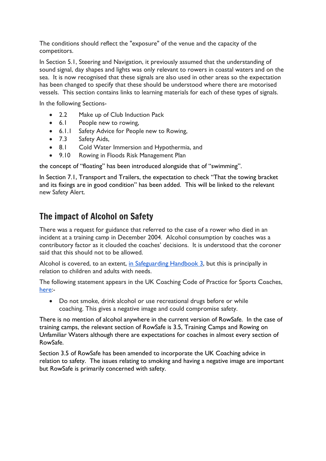The conditions should reflect the "exposure" of the venue and the capacity of the competitors.

In Section 5.1, Steering and Navigation, it previously assumed that the understanding of sound signal, day shapes and lights was only relevant to rowers in coastal waters and on the sea. It is now recognised that these signals are also used in other areas so the expectation has been changed to specify that these should be understood where there are motorised vessels. This section contains links to learning materials for each of these types of signals.

In the following Sections-

- 2.2 Make up of Club Induction Pack
- 6.1 People new to rowing,
- 6.1.1 Safety Advice for People new to Rowing,
- 7.3 Safety Aids,
- 8.1 Cold Water Immersion and Hypothermia, and
- 9.10 Rowing in Floods Risk Management Plan

the concept of "floating" has been introduced alongside that of "swimming".

In Section 7.1, Transport and Trailers, the expectation to check "That the towing bracket" and its fixings are in good condition" has been added. This will be linked to the relevant new Safety Alert.

## The impact of Alcohol on Safety

There was a request for guidance that referred to the case of a rower who died in an incident at a training camp in December 2004. Alcohol consumption by coaches was a contributory factor as it clouded the coaches' decisions. It is understood that the coroner said that this should not to be allowed.

Alcohol is covered, to an extent, in [Safeguarding](https://www.britishrowing.org/wp-content/uploads/2021/09/British-Rowing-Safeguarding-Handbook-3-Club-training-and-competition-guidance-Covid-guidance-template.pdf) Handbook 3, but this is principally in relation to children and adults with needs.

The following statement appears in the UK Coaching Code of Practice for Sports Coaches, [here:](https://www.ukcoaching.org/resources/topics/guides/code-of-practice-for-sports-coaches)-

• Do not smoke, drink alcohol or use recreational drugs before or while coaching. This gives a negative image and could compromise safety.

There is no mention of alcohol anywhere in the current version of RowSafe. In the case of training camps, the relevant section of RowSafe is 3.5, Training Camps and Rowing on Unfamiliar Waters although there are expectations for coaches in almost every section of RowSafe.

Section 3.5 of RowSafe has been amended to incorporate the UK Coaching advice in relation to safety. The issues relating to smoking and having a negative image are important but RowSafe is primarily concerned with safety.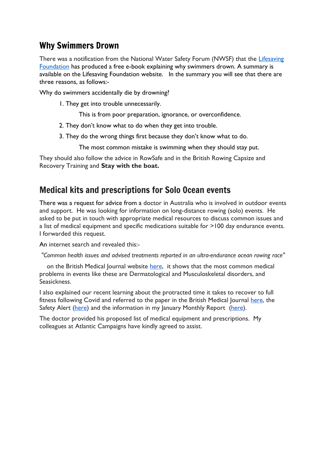## Why Swimmers Drown

There was a notification from the National Water Safety Forum (NWSF) that the [Lifesaving](https://www.lifesavingfoundation.ie/)  [Foundation](https://www.lifesavingfoundation.ie/) has produced a free e-book explaining why swimmers drown. A summary is available on the Lifesaving Foundation website. In the summary you will see that there are three reasons, as follows:-

Why do swimmers accidentally die by drowning?

1. They get into trouble unnecessarily.

This is from poor preparation, ignorance, or overconfidence.

- 2. They don't know what to do when they get into trouble.
- 3. They do the wrong things first because they don't know what to do.

The most common mistake is swimming when they should stay put.

They should also follow the advice in RowSafe and in the British Rowing Capsize and Recovery Training and **Stay with the boat.** 

## Medical kits and prescriptions for Solo Ocean events

There was a request for advice from a doctor in Australia who is involved in outdoor events and support. He was looking for information on long-distance rowing (solo) events. He asked to be put in touch with appropriate medical resources to discuss common issues and a list of medical equipment and specific medications suitable for >100 day endurance events. I forwarded this request.

An internet search and revealed this:-

*"Common health issues and advised treatments reported in an ultra-endurance ocean rowing race"*

on the British Medical Journal website [here,](https://bmjopensem.bmj.com/content/bmjosem/8/1/e001120.full.pdf) it shows that the most common medical problems in events like these are Dermatological and Musculoskeletal disorders, and Seasickness.

I also explained our recent learning about the protracted time it takes to recover to full fitness following Covid and referred to the paper in the British Medical Journal [here,](https://www.bmj.com/content/372/bmj.m4721#:~:text=Therefore%2C%20consensus%20agreement%20is%20that,physical%20activity%20(fig%201).) the Safety Alert [\(here\)](https://www.britishrowing.org/wp-content/uploads/2022/02/HRSA-Monthly-Report-January-2022.pdf) and the information in my January Monthly Report (here).

The doctor provided his proposed list of medical equipment and prescriptions. My colleagues at Atlantic Campaigns have kindly agreed to assist.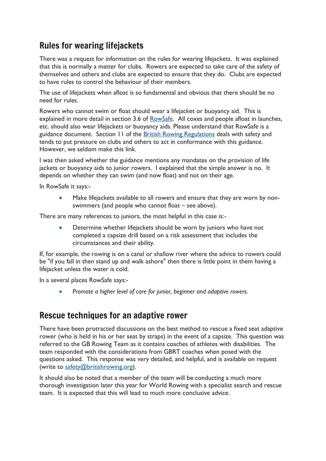## Rules for wearing lifejackets

There was a request for information on the rules for wearing lifejackets. It was explained that this is normally a matter for clubs. Rowers are expected to take care of the safety of themselves and others and clubs are expected to ensure that they do. Clubs are expected to have rules to control the behaviour of their members.

The use of lifejackets when afloat is so fundamental and obvious that there should be no need for rules.

Rowers who cannot swim or float should wear a lifejacket or buoyancy aid. This is explained in more detail in section 3.6 of [RowSafe.](https://www.britishrowing.org/about-us/policies-guidance/rowsafe/) All coxes and people afloat in launches, etc. should also wear lifejackets or buoyancy aids. Please understand that RowSafe is a guidance document. Section 11 of the **British Rowing Regulations** deals with safety and tends to put pressure on clubs and others to act in conformance with this guidance. However, we seldom make this link.

I was then asked whether the guidance mentions any mandates on the provision of life jackets or buoyancy aids to junior rowers. I explained that the simple answer is no. It depends on whether they can swim (and now float) and not on their age.

In RowSafe it says:-

• Make lifejackets available to all rowers and ensure that they are worn by nonswimmers (and people who cannot float – see above).

There are many references to juniors, the most helpful in this case is:-

• Determine whether lifejackets should be worn by juniors who have not completed a capsize drill based on a risk assessment that includes the circumstances and their ability.

If, for example, the rowing is on a canal or shallow river where the advice to rowers could be "if you fall in then stand up and walk ashore" then there is little point in them having a lifejacket unless the water is cold.

In a several places RowSafe says:-

• *Promote a higher level of care for junior, beginner and adaptive rowers.*

## Rescue techniques for an adaptive rower

There have been protracted discussions on the best method to rescue a fixed seat adaptive rower (who is held in his or her seat by straps) in the event of a capsize. This question was referred to the GB Rowing Team as it contains coaches of athletes with disabilities. The team responded with the considerations from GBRT coaches when posed with the questions asked. This response was very detailed, and helpful, and is available on request (write to [safety@britishrowing.org\)](mailto:safety@britishrowing.org).

It should also be noted that a member of the team will be conducting a much more thorough investigation later this year for World Rowing with a specialist search and rescue team. It is expected that this will lead to much more conclusive advice.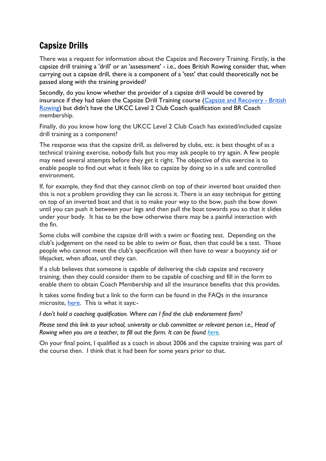## Capsize Drills

There was a request for information about the Capsize and Recovery Training. Firstly, is the capsize drill training a 'drill' or an 'assessment' - i.e., does British Rowing consider that, when carrying out a capsize drill, there is a component of a 'test' that could theoretically not be passed along with the training provided?

Secondly, do you know whether the provider of a capsize drill would be covered by insurance if they had taken the Capsize Drill Training course [\(Capsize and Recovery -](https://www.britishrowing.org/knowledge/courses-qualifications/safety/capsize-and-recovery-2/) British [Rowing\)](https://www.britishrowing.org/knowledge/courses-qualifications/safety/capsize-and-recovery-2/) but didn't have the UKCC Level 2 Club Coach qualification and BR Coach membership.

Finally, do you know how long the UKCC Level 2 Club Coach has existed/included capsize drill training as a component?

The response was that the capsize drill, as delivered by clubs, etc. is best thought of as a technical training exercise, nobody fails but you may ask people to try again. A few people may need several attempts before they get it right. The objective of this exercise is to enable people to find out what it feels like to capsize by doing so in a safe and controlled environment.

If, for example, they find that they cannot climb on top of their inverted boat unaided then this is not a problem providing they can lie across it. There is an easy technique for getting on top of an inverted boat and that is to make your way to the bow, push the bow down until you can push it between your legs and then pull the boat towards you so that it slides under your body. It has to be the bow otherwise there may be a painful interaction with the fin.

Some clubs will combine the capsize drill with a swim or floating test. Depending on the club's judgement on the need to be able to swim or float, then that could be a test. Those people who cannot meet the club's specification will then have to wear a buoyancy aid or lifejacket, when afloat, until they can.

If a club believes that someone is capable of delivering the club capsize and recovery training, then they could consider them to be capable of coaching and fill in the form to enable them to obtain Coach Membership and all the insurance benefits that this provides.

It takes some finding but a link to the form can be found in the FAQs in the insurance microsite, [here.](http://british-rowing-insurance.co.uk/faqs-coaches#FAQ_3) This is what it says:-

*I don't hold a coaching qualification. Where can I find the club endorsement form?*

*Please send this link to your school, university or club committee or relevant person i.e., Head of Rowing when you are a teacher, to fill out the form. It can be found [here.](https://docs.google.com/forms/d/e/1FAIpQLSfsQk_SM-5VjfPzfddLg8X5WQqQ3TKYjA1vjzjbS-2wXxPeCA/viewform?usp=sf_link)*

On your final point, I qualified as a coach in about 2006 and the capsize training was part of the course then. I think that it had been for some years prior to that.